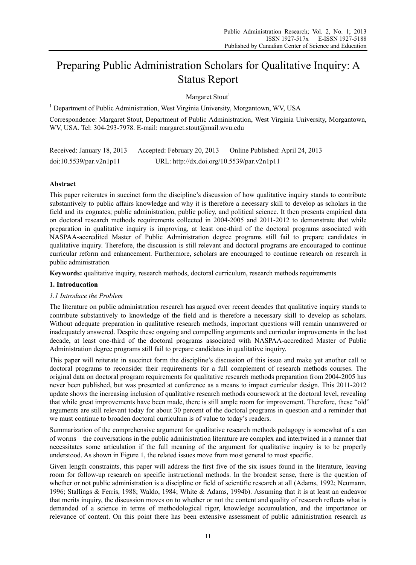# Preparing Public Administration Scholars for Qualitative Inquiry: A Status Report

Margaret Stout<sup>1</sup>

<sup>1</sup> Department of Public Administration, West Virginia University, Morgantown, WV, USA

Correspondence: Margaret Stout, Department of Public Administration, West Virginia University, Morgantown, WV, USA. Tel: 304-293-7978. E-mail: margaret.stout@mail.wvu.edu

| Received: January 18, 2013 | Accepted: February 20, 2013                | Online Published: April 24, 2013 |
|----------------------------|--------------------------------------------|----------------------------------|
| doi:10.5539/par.v2n1p11    | URL: http://dx.doi.org/10.5539/par.v2n1p11 |                                  |

# **Abstract**

This paper reiterates in succinct form the discipline's discussion of how qualitative inquiry stands to contribute substantively to public affairs knowledge and why it is therefore a necessary skill to develop as scholars in the field and its cognates; public administration, public policy, and political science. It then presents empirical data on doctoral research methods requirements collected in 2004-2005 and 2011-2012 to demonstrate that while preparation in qualitative inquiry is improving, at least one-third of the doctoral programs associated with NASPAA-accredited Master of Public Administration degree programs still fail to prepare candidates in qualitative inquiry. Therefore, the discussion is still relevant and doctoral programs are encouraged to continue curricular reform and enhancement. Furthermore, scholars are encouraged to continue research on research in public administration.

**Keywords:** qualitative inquiry, research methods, doctoral curriculum, research methods requirements

## **1. Introducation**

# *1.1 Introduce the Problem*

The literature on public administration research has argued over recent decades that qualitative inquiry stands to contribute substantively to knowledge of the field and is therefore a necessary skill to develop as scholars. Without adequate preparation in qualitative research methods, important questions will remain unanswered or inadequately answered. Despite these ongoing and compelling arguments and curricular improvements in the last decade, at least one-third of the doctoral programs associated with NASPAA-accredited Master of Public Administration degree programs still fail to prepare candidates in qualitative inquiry.

This paper will reiterate in succinct form the discipline's discussion of this issue and make yet another call to doctoral programs to reconsider their requirements for a full complement of research methods courses. The original data on doctoral program requirements for qualitative research methods preparation from 2004-2005 has never been published, but was presented at conference as a means to impact curricular design. This 2011-2012 update shows the increasing inclusion of qualitative research methods coursework at the doctoral level, revealing that while great improvements have been made, there is still ample room for improvement. Therefore, these "old" arguments are still relevant today for about 30 percent of the doctoral programs in question and a reminder that we must continue to broaden doctoral curriculum is of value to today's readers.

Summarization of the comprehensive argument for qualitative research methods pedagogy is somewhat of a can of worms—the conversations in the public administration literature are complex and intertwined in a manner that necessitates some articulation if the full meaning of the argument for qualitative inquiry is to be properly understood. As shown in Figure 1, the related issues move from most general to most specific.

Given length constraints, this paper will address the first five of the six issues found in the literature, leaving room for follow-up research on specific instructional methods. In the broadest sense, there is the question of whether or not public administration is a discipline or field of scientific research at all (Adams, 1992; Neumann, 1996; Stallings & Ferris, 1988; Waldo, 1984; White & Adams, 1994b). Assuming that it is at least an endeavor that merits inquiry, the discussion moves on to whether or not the content and quality of research reflects what is demanded of a science in terms of methodological rigor, knowledge accumulation, and the importance or relevance of content. On this point there has been extensive assessment of public administration research as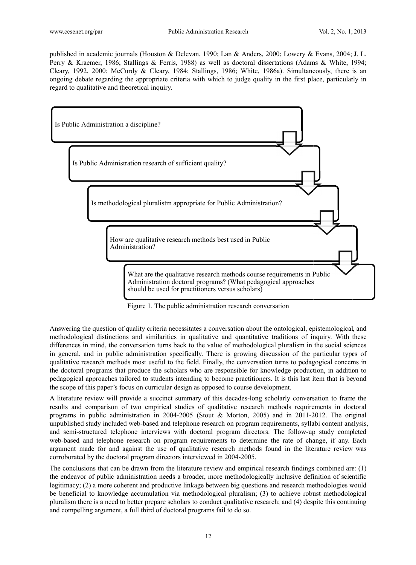published in academic journals (Houston & Delevan, 1990; Lan & Anders, 2000; Lowery & Evans, 2004; J. L. Perry & Kraemer, 1986; Stallings & Ferris, 1988) as well as doctoral dissertations (Adams & White, 1994; Cleary, 1992, 2000; McCurdy & Cleary, 1984; Stallings, 1986; White, 1986a). Simultaneously, there is an ongoing debate regarding the appropriate criteria with which to judge quality in the first place, particularly in regard to qualitative and theoretical inquiry.



Figure 1. The public administration research conversation

Answering the question of quality criteria necessitates a conversation about the ontological, epistemological, and methodological distinctions and similarities in qualitative and quantitative traditions of inquiry. With these differences in mind, the conversation turns back to the value of methodological pluralism in the social sciences in general, and in public administration specifically. There is growing discussion of the particular types of qualitative research methods most useful to the field. Finally, the conversation turns to pedagogical concerns in the doctoral programs that produce the scholars who are responsible for knowledge production, in addition to pedagogical approaches tailored to students intending to become practitioners. It is this last item that is beyond the scope of this paper's focus on curricular design as opposed to course development.

A literature review will provide a succinct summary of this decades-long scholarly conversation to frame the results and comparison of two empirical studies of qualitative research methods requirements in doctoral programs in public administration in  $2004-2005$  (Stout & Morton, 2005) and in 2011-2012. The original unpublished study included web-based and telephone research on program requirements, syllabi content analysis, and semi-structured telephone interviews with doctoral program directors. The follow-up study completed web-based and telephone research on program requirements to determine the rate of change, if any. Each argument made for and against the use of qualitative research methods found in the literature review was corroborated by the doctoral program directors interviewed in 2004-2005.

The conclusions that can be drawn from the literature review and empirical research findings combined are:  $(1)$ the endeavor of public administration needs a broader, more methodologically inclusive definition of scientific legitimacy; (2) a more coherent and productive linkage between big questions and research methodologies would be beneficial to knowledge accumulation via methodological pluralism; (3) to achieve robust methodological pluralism there is a need to better prepare scholars to conduct qualitative research; and (4) despite this continuing and compelling argument, a full third of doctoral programs fail to do so.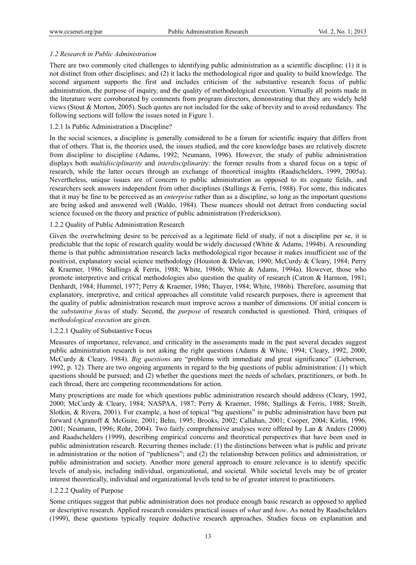## *1.2 Research in Public Administration*

There are two commonly cited challenges to identifying public administration as a scientific discipline: (1) it is not distinct from other disciplines; and (2) it lacks the methodological rigor and quality to build knowledge. The second argument supports the first and includes criticism of the substantive research focus of public administration, the purpose of inquiry, and the quality of methodological execution. Virtually all points made in the literature were corroborated by comments from program directors, demonstrating that they are widely held views (Stout & Morton, 2005). Such quotes are not included for the sake of brevity and to avoid redundancy. The following sections will follow the issues noted in Figure 1.

### 1.2.1 Is Public Administration a Discipline?

In the social sciences, a discipline is generally considered to be a forum for scientific inquiry that differs from that of others. That is, the theories used, the issues studied, and the core knowledge bases are relatively discrete from discipline to discipline (Adams, 1992; Neumann, 1996). However, the study of public administration displays both *multidisciplinarity* and *interdisciplinarit*y: the former results from a shared focus on a topic of research, while the latter occurs through an exchange of theoretical insights (Raadschelders, 1999, 2005a). Nevertheless, unique issues are of concern to public administration as opposed to its cognate fields, and researchers seek answers independent from other disciplines (Stallings  $\&$  Ferris, 1988). For some, this indicates that it may be fine to be perceived as an *enterprise* rather than as a discipline, so long as the important questions are being asked and answered well (Waldo, 1984). These nuances should not detract from conducting social science focused on the theory and practice of public administration (Frederickson).

### 1.2.2 Quality of Public Administration Research

Given the overwhelming desire to be perceived as a legitimate field of study, if not a discipline per se, it is predictable that the topic of research quality would be widely discussed (White & Adams, 1994b). A resounding theme is that public administration research lacks methodological rigor because it makes insufficient use of the positivist, explanatory social science methodology (Houston & Delevan, 1990; McCurdy & Cleary, 1984; Perry & Kraemer, 1986; Stallings & Ferris, 1988; White, 1986b; White & Adams, 1994a). However, those who promote interpretive and critical methodologies also question the quality of research (Catron & Harmon, 1981; Denhardt, 1984; Hummel, 1977; Perry & Kraemer, 1986; Thayer, 1984; White, 1986b). Therefore, assuming that explanatory, interpretive, and critical approaches all constitute valid research purposes, there is agreement that the quality of public administration research must improve across a number of dimensions. Of initial concern is the *substantive focus* of study. Second, the *purpose* of research conducted is questioned. Third, critiques of *methodological execution* are given.

### 1.2.2.1 Quality of Substantive Focus

Measures of importance, relevance, and criticality in the assessments made in the past several decades suggest public administration research is not asking the right questions (Adams & White, 1994; Cleary, 1992, 2000; McCurdy & Cleary, 1984). *Big questions* are "problems with immediate and great significance" (Lieberson, 1992, p. 12). There are two ongoing arguments in regard to the big questions of public administration: (1) which questions should be pursued; and (2) whether the questions meet the needs of scholars, practitioners, or both. In each thread, there are competing recommendations for action.

Many prescriptions are made for which questions public administration research should address (Cleary, 1992, 2000; McCurdy & Cleary, 1984; NASPAA, 1987; Perry & Kraemer, 1986; Stallings & Ferris, 1988; Streib, Slotkin, & Rivera, 2001). For example, a host of topical "big questions" in public administration have been put forward (Agranoff & McGuire, 2001; Behn, 1995; Brooks, 2002; Callahan, 2001; Cooper, 2004; Kirlin, 1996, 2001; Neumann, 1996; Rohr, 2004). Two fairly comprehensive analyses were offered by Lan & Anders (2000) and Raadschelders (1999), describing empirical concerns and theoretical perspectives that have been used in public administration research. Recurring themes include: (1) the distinctions between what is public and private in administration or the notion of "publicness"; and (2) the relationship between politics and administration, or public administration and society. Another more general approach to ensure relevance is to identify specific levels of analysis, including individual, organizational, and societal. While societal levels may be of greater interest theoretically, individual and organizational levels tend to be of greater interest to practitioners.

# 1.2.2.2 Quality of Purpose

Some critiques suggest that public administration does not produce enough basic research as opposed to applied or descriptive research. Applied research considers practical issues of *what* and *how*. As noted by Raadschelders (1999), these questions typically require deductive research approaches. Studies focus on explanation and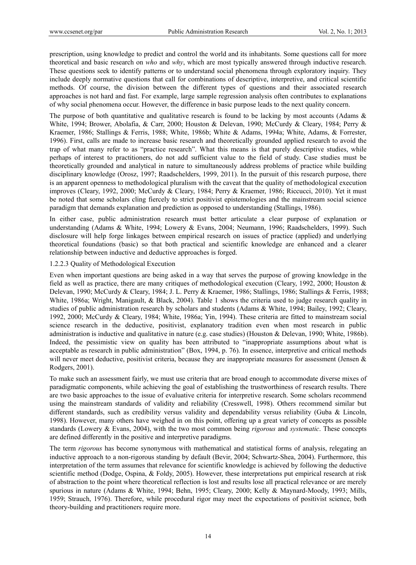prescription, using knowledge to predict and control the world and its inhabitants. Some questions call for more theoretical and basic research on *who* and *why*, which are most typically answered through inductive research. These questions seek to identify patterns or to understand social phenomena through exploratory inquiry. They include deeply normative questions that call for combinations of descriptive, interpretive, and critical scientific methods. Of course, the division between the different types of questions and their associated research approaches is not hard and fast. For example, large sample regression analysis often contributes to explanations of why social phenomena occur. However, the difference in basic purpose leads to the next quality concern.

The purpose of both quantitative and qualitative research is found to be lacking by most accounts (Adams  $\&$ White, 1994; Brower, Abolafia, & Carr, 2000; Houston & Delevan, 1990; McCurdy & Cleary, 1984; Perry & Kraemer, 1986; Stallings & Ferris, 1988; White, 1986b; White & Adams, 1994a; White, Adams, & Forrester, 1996). First, calls are made to increase basic research and theoretically grounded applied research to avoid the trap of what many refer to as "practice research". What this means is that purely descriptive studies, while perhaps of interest to practitioners, do not add sufficient value to the field of study. Case studies must be theoretically grounded and analytical in nature to simultaneously address problems of practice while building disciplinary knowledge (Orosz, 1997; Raadschelders, 1999, 2011). In the pursuit of this research purpose, there is an apparent openness to methodological pluralism with the caveat that the quality of methodological execution improves (Cleary, 1992, 2000; McCurdy & Cleary, 1984; Perry & Kraemer, 1986; Riccucci, 2010). Yet it must be noted that some scholars cling fiercely to strict positivist epistemologies and the mainstream social science paradigm that demands explanation and prediction as opposed to understanding (Stallings, 1986).

In either case, public administration research must better articulate a clear purpose of explanation or understanding (Adams & White, 1994; Lowery & Evans, 2004; Neumann, 1996; Raadschelders, 1999). Such disclosure will help forge linkages between empirical research on issues of practice (applied) and underlying theoretical foundations (basic) so that both practical and scientific knowledge are enhanced and a clearer relationship between inductive and deductive approaches is forged.

### 1.2.2.3 Quality of Methodological Execution

Even when important questions are being asked in a way that serves the purpose of growing knowledge in the field as well as practice, there are many critiques of methodological execution (Cleary, 1992, 2000; Houston & Delevan, 1990; McCurdy & Cleary, 1984; J. L. Perry & Kraemer, 1986; Stallings, 1986; Stallings & Ferris, 1988; White, 1986a; Wright, Manigault, & Black, 2004). Table 1 shows the criteria used to judge research quality in studies of public administration research by scholars and students (Adams & White, 1994; Bailey, 1992; Cleary, 1992, 2000; McCurdy & Cleary, 1984; White, 1986a; Yin, 1994). These criteria are fitted to mainstream social science research in the deductive, positivist, explanatory tradition even when most research in public administration is inductive and qualitative in nature (e.g. case studies) (Houston & Delevan, 1990; White, 1986b). Indeed, the pessimistic view on quality has been attributed to "inappropriate assumptions about what is acceptable as research in public administration" (Box, 1994, p. 76). In essence, interpretive and critical methods will never meet deductive, positivist criteria, because they are inappropriate measures for assessment (Jensen & Rodgers, 2001).

To make such an assessment fairly, we must use criteria that are broad enough to accommodate diverse mixes of paradigmatic components, while achieving the goal of establishing the trustworthiness of research results. There are two basic approaches to the issue of evaluative criteria for interpretive research. Some scholars recommend using the mainstream standards of validity and reliability (Cresswell, 1998). Others recommend similar but different standards, such as credibility versus validity and dependability versus reliability (Guba & Lincoln, 1998). However, many others have weighed in on this point, offering up a great variety of concepts as possible standards (Lowery & Evans, 2004), with the two most common being *rigorous* and *systematic*. These concepts are defined differently in the positive and interpretive paradigms.

The term *rigorous* has become synonymous with mathematical and statistical forms of analysis, relegating an inductive approach to a non-rigorous standing by default (Bevir, 2004; Schwartz-Shea, 2004). Furthermore, this interpretation of the term assumes that relevance for scientific knowledge is achieved by following the deductive scientific method (Dodge, Ospina, & Foldy, 2005). However, these interpretations put empirical research at risk of abstraction to the point where theoretical reflection is lost and results lose all practical relevance or are merely spurious in nature (Adams & White, 1994; Behn, 1995; Cleary, 2000; Kelly & Maynard-Moody, 1993; Mills, 1959; Strauch, 1976). Therefore, while procedural rigor may meet the expectations of positivist science, both theory-building and practitioners require more.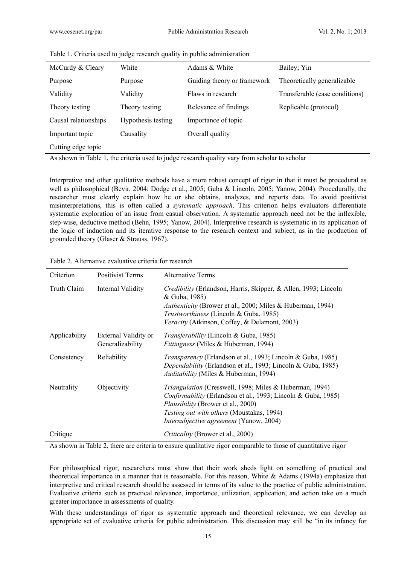| McCurdy & Cleary     | White              | Adams & White               | Bailey; Yin                    |  |
|----------------------|--------------------|-----------------------------|--------------------------------|--|
| Purpose              | Purpose            | Guiding theory or framework | Theoretically generalizable    |  |
| Validity             | Validity           | Flaws in research           | Transferable (case conditions) |  |
| Theory testing       | Theory testing     | Relevance of findings       | Replicable (protocol)          |  |
| Causal relationships | Hypothesis testing | Importance of topic         |                                |  |
| Important topic      | Causality          | Overall quality             |                                |  |
| Cutting edge topic   |                    |                             |                                |  |

#### Table 1. Criteria used to judge research quality in public administration

As shown in Table 1, the criteria used to judge research quality vary from scholar to scholar

Interpretive and other qualitative methods have a more robust concept of rigor in that it must be procedural as well as philosophical (Bevir, 2004; Dodge et al., 2005; Guba & Lincoln, 2005; Yanow, 2004). Procedurally, the researcher must clearly explain how he or she obtains, analyzes, and reports data. To avoid positivist misinterpretations, this is often called a *systematic approach*. This criterion helps evaluators differentiate systematic exploration of an issue from casual observation. A systematic approach need not be the inflexible, step-wise, deductive method (Behn, 1995; Yanow, 2004). Interpretive research is systematic in its application of the logic of induction and its iterative response to the research context and subject, as in the production of grounded theory (Glaser & Strauss, 1967).

| Table 2. Alternative evaluative criteria for research |  |  |  |
|-------------------------------------------------------|--|--|--|
|-------------------------------------------------------|--|--|--|

| Criterion     | Positivist Terms                         | <b>Alternative Terms</b>                                                                                                                                                                                                                                             |
|---------------|------------------------------------------|----------------------------------------------------------------------------------------------------------------------------------------------------------------------------------------------------------------------------------------------------------------------|
| Truth Claim   | Internal Validity                        | Credibility (Erlandson, Harris, Skipper, & Allen, 1993; Lincoln<br>& Guba, 1985)<br>Authenticity (Brower et al., 2000; Miles & Huberman, 1994)<br>Trustworthiness (Lincoln & Guba, 1985)<br><i>Veracity</i> (Atkinson, Coffey, & Delamont, 2003)                     |
| Applicability | External Validity or<br>Generalizability | <i>Transferability</i> (Lincoln & Guba, 1985)<br><i>Fittingness</i> (Miles & Huberman, 1994)                                                                                                                                                                         |
| Consistency   | Reliability                              | <i>Transparency</i> (Erlandson et al., 1993; Lincoln & Guba, 1985)<br>Dependability (Erlandson et al., 1993; Lincoln & Guba, 1985)<br><i>Auditability</i> (Miles & Huberman, 1994)                                                                                   |
| Neutrality    | Objectivity                              | <i>Triangulation</i> (Cresswell, 1998; Miles & Huberman, 1994)<br>Confirmability (Erlandson et al., 1993; Lincoln & Guba, 1985)<br>Plausibility (Brower et al., 2000)<br>Testing out with others (Moustakas, 1994)<br><i>Intersubjective agreement</i> (Yanow, 2004) |
| Critique      |                                          | <i>Criticality</i> (Brower et al., 2000)                                                                                                                                                                                                                             |

As shown in Table 2, there are criteria to ensure qualitative rigor comparable to those of quantitative rigor

For philosophical rigor, researchers must show that their work sheds light on something of practical and theoretical importance in a manner that is reasonable. For this reason, White & Adams (1994a) emphasize that interpretive and critical research should be assessed in terms of its value to the practice of public administration. Evaluative criteria such as practical relevance, importance, utilization, application, and action take on a much greater importance in assessments of quality.

With these understandings of rigor as systematic approach and theoretical relevance, we can develop an appropriate set of evaluative criteria for public administration. This discussion may still be "in its infancy for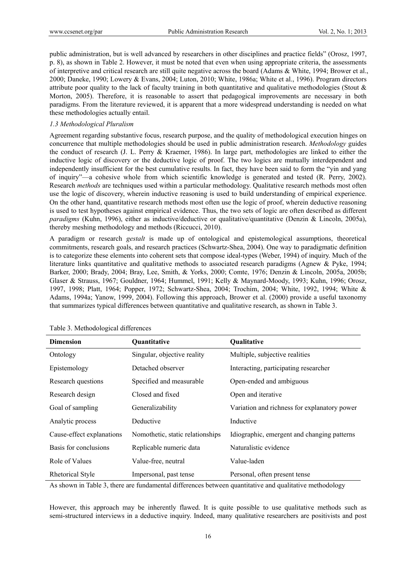public administration, but is well advanced by researchers in other disciplines and practice fields" (Orosz, 1997, p. 8), as shown in Table 2. However, it must be noted that even when using appropriate criteria, the assessments of interpretive and critical research are still quite negative across the board (Adams & White, 1994; Brower et al., 2000; Daneke, 1990; Lowery & Evans, 2004; Luton, 2010; White, 1986a; White et al., 1996). Program directors attribute poor quality to the lack of faculty training in both quantitative and qualitative methodologies (Stout  $\&$ Morton, 2005). Therefore, it is reasonable to assert that pedagogical improvements are necessary in both paradigms. From the literature reviewed, it is apparent that a more widespread understanding is needed on what these methodologies actually entail.

### *1.3 Methodological Pluralism*

Agreement regarding substantive focus, research purpose, and the quality of methodological execution hinges on concurrence that multiple methodologies should be used in public administration research. *Methodology* guides the conduct of research (J. L. Perry & Kraemer, 1986). In large part, methodologies are linked to either the inductive logic of discovery or the deductive logic of proof. The two logics are mutually interdependent and independently insufficient for the best cumulative results. In fact, they have been said to form the "yin and yang of inquiry"—a cohesive whole from which scientific knowledge is generated and tested (R. Perry, 2002). Research *methods* are techniques used within a particular methodology. Qualitative research methods most often use the logic of discovery, wherein inductive reasoning is used to build understanding of empirical experience. On the other hand, quantitative research methods most often use the logic of proof, wherein deductive reasoning is used to test hypotheses against empirical evidence. Thus, the two sets of logic are often described as different *paradigms* (Kuhn, 1996), either as inductive/deductive or qualitative/quantitative (Denzin & Lincoln, 2005a), thereby meshing methodology and methods (Riccucci, 2010).

A paradigm or research *gestalt* is made up of ontological and epistemological assumptions, theoretical commitments, research goals, and research practices (Schwartz-Shea, 2004). One way to paradigmatic definition is to categorize these elements into coherent sets that compose ideal-types (Weber, 1994) of inquiry. Much of the literature links quantitative and qualitative methods to associated research paradigms (Agnew & Pyke, 1994; Barker, 2000; Brady, 2004; Bray, Lee, Smith, & Yorks, 2000; Comte, 1976; Denzin & Lincoln, 2005a, 2005b; Glaser & Strauss, 1967; Gouldner, 1964; Hummel, 1991; Kelly & Maynard-Moody, 1993; Kuhn, 1996; Orosz, 1997, 1998; Platt, 1964; Popper, 1972; Schwartz-Shea, 2004; Trochim, 2004; White, 1992, 1994; White & Adams, 1994a; Yanow, 1999, 2004). Following this approach, Brower et al. (2000) provide a useful taxonomy that summarizes typical differences between quantitative and qualitative research, as shown in Table 3.

| <b>Dimension</b>          | Quantitative                     | <b>Qualitative</b>                           |
|---------------------------|----------------------------------|----------------------------------------------|
| Ontology                  | Singular, objective reality      | Multiple, subjective realities               |
| Epistemology              | Detached observer                | Interacting, participating researcher        |
| Research questions        | Specified and measurable         | Open-ended and ambiguous                     |
| Research design           | Closed and fixed                 | Open and iterative                           |
| Goal of sampling          | Generalizability                 | Variation and richness for explanatory power |
| Analytic process          | Deductive                        | Inductive                                    |
| Cause-effect explanations | Nomothetic, static relationships | Idiographic, emergent and changing patterns  |
| Basis for conclusions     | Replicable numeric data          | Naturalistic evidence                        |
| Role of Values            | Value-free, neutral              | Value-laden                                  |
| Rhetorical Style          | Impersonal, past tense           | Personal, often present tense                |

|  | Table 3. Methodological differences |  |
|--|-------------------------------------|--|
|--|-------------------------------------|--|

As shown in Table 3, there are fundamental differences between quantitative and qualitative methodology

However, this approach may be inherently flawed. It is quite possible to use qualitative methods such as semi-structured interviews in a deductive inquiry. Indeed, many qualitative researchers are positivists and post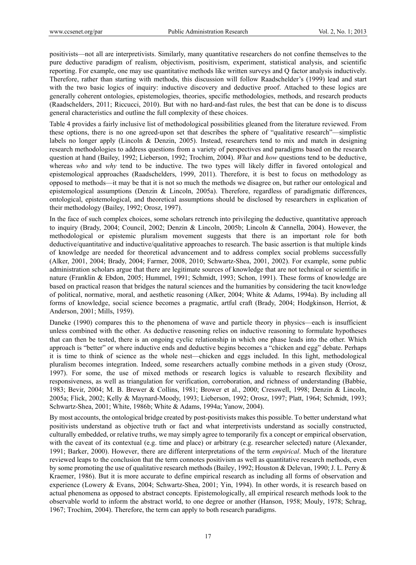positivists—not all are interpretivists. Similarly, many quantitative researchers do not confine themselves to the pure deductive paradigm of realism, objectivism, positivism, experiment, statistical analysis, and scientific reporting. For example, one may use quantitative methods like written surveys and Q factor analysis inductively. Therefore, rather than starting with methods, this discussion will follow Raadschelder's (1999) lead and start with the two basic logics of inquiry: inductive discovery and deductive proof. Attached to these logics are generally coherent ontologies, epistemologies, theories, specific methodologies, methods, and research products (Raadschelders, 2011; Riccucci, 2010). But with no hard-and-fast rules, the best that can be done is to discuss general characteristics and outline the full complexity of these choices.

Table 4 provides a fairly inclusive list of methodological possibilities gleaned from the literature reviewed. From these options, there is no one agreed-upon set that describes the sphere of "qualitative research"—simplistic labels no longer apply (Lincoln & Denzin, 2005). Instead, researchers tend to mix and match in designing research methodologies to address questions from a variety of perspectives and paradigms based on the research question at hand (Bailey, 1992; Lieberson, 1992; Trochim, 2004). *What* and *how* questions tend to be deductive, whereas *who* and *why* tend to be inductive. The two types will likely differ in favored ontological and epistemological approaches (Raadschelders, 1999, 2011). Therefore, it is best to focus on methodology as opposed to methods—it may be that it is not so much the methods we disagree on, but rather our ontological and epistemological assumptions (Denzin & Lincoln, 2005a). Therefore, regardless of paradigmatic differences, ontological, epistemological, and theoretical assumptions should be disclosed by researchers in explication of their methodology (Bailey, 1992; Orosz, 1997).

In the face of such complex choices, some scholars retrench into privileging the deductive, quantitative approach to inquiry (Brady, 2004; Council, 2002; Denzin & Lincoln, 2005b; Lincoln & Cannella, 2004). However, the methodological or epistemic pluralism movement suggests that there is an important role for both deductive/quantitative and inductive/qualitative approaches to research. The basic assertion is that multiple kinds of knowledge are needed for theoretical advancement and to address complex social problems successfully (Alker, 2001, 2004; Brady, 2004; Farmer, 2008, 2010; Schwartz-Shea, 2001, 2002). For example, some public administration scholars argue that there are legitimate sources of knowledge that are not technical or scientific in nature (Franklin & Ebdon, 2005; Hummel, 1991; Schmidt, 1993; Schon, 1991). These forms of knowledge are based on practical reason that bridges the natural sciences and the humanities by considering the tacit knowledge of political, normative, moral, and aesthetic reasoning (Alker, 2004; White & Adams, 1994a). By including all forms of knowledge, social science becomes a pragmatic, artful craft (Brady, 2004; Hodgkinson, Herriot, & Anderson, 2001; Mills, 1959).

Daneke (1990) compares this to the phenomena of wave and particle theory in physics—each is insufficient unless combined with the other. As deductive reasoning relies on inductive reasoning to formulate hypotheses that can then be tested, there is an ongoing cyclic relationship in which one phase leads into the other. Which approach is "better" or where inductive ends and deductive begins becomes a "chicken and egg" debate. Perhaps it is time to think of science as the whole nest—chicken and eggs included. In this light, methodological pluralism becomes integration. Indeed, some researchers actually combine methods in a given study (Orosz, 1997). For some, the use of mixed methods or research logics is valuable to research flexibility and responsiveness, as well as triangulation for verification, corroboration, and richness of understanding (Babbie, 1983; Bevir, 2004; M. B. Brewer & Collins, 1981; Brower et al., 2000; Cresswell, 1998; Denzin & Lincoln, 2005a; Flick, 2002; Kelly & Maynard-Moody, 1993; Lieberson, 1992; Orosz, 1997; Platt, 1964; Schmidt, 1993; Schwartz-Shea, 2001; White, 1986b; White & Adams, 1994a; Yanow, 2004).

By most accounts, the ontological bridge created by post-positivists makes this possible. To better understand what positivists understand as objective truth or fact and what interpretivists understand as socially constructed, culturally embedded, or relative truths, we may simply agree to temporarily fix a concept or empirical observation, with the caveat of its contextual (e.g. time and place) or arbitrary (e.g. researcher selected) nature (Alexander, 1991; Barker, 2000). However, there are different interpretations of the term *empirical*. Much of the literature reviewed leaps to the conclusion that the term connotes positivism as well as quantitative research methods, even by some promoting the use of qualitative research methods (Bailey, 1992; Houston & Delevan, 1990; J. L. Perry & Kraemer, 1986). But it is more accurate to define empirical research as including all forms of observation and experience (Lowery & Evans, 2004; Schwartz-Shea, 2001; Yin, 1994). In other words, it is research based on actual phenomena as opposed to abstract concepts. Epistemologically, all empirical research methods look to the observable world to inform the abstract world, to one degree or another (Hanson, 1958; Mouly, 1978; Schrag, 1967; Trochim, 2004). Therefore, the term can apply to both research paradigms.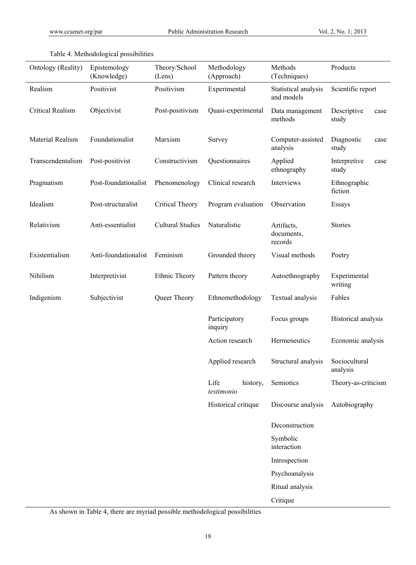# Table 4. Methodological possibilities

| Ontology (Reality)      | Epistemology<br>(Knowledge) | Theory/School<br>(Lens) | Methodology<br>(Approach)      | Methods<br>(Techniques)             | Products                      |
|-------------------------|-----------------------------|-------------------------|--------------------------------|-------------------------------------|-------------------------------|
| Realism                 | Positivist                  | Positivism              | Experimental                   | Statistical analysis<br>and models  | Scientific report             |
| <b>Critical Realism</b> | Objectivist                 | Post-positivism         | Quasi-experimental             | Data management<br>methods          | Descriptive<br>case<br>study  |
| Material Realism        | Foundationalist             | Marxism                 | Survey                         | Computer-assisted<br>analysis       | Diagnostic<br>case<br>study   |
| Transcendentalism       | Post-positivist             | Constructivism          | Questionnaires                 | Applied<br>ethnography              | Interpretive<br>case<br>study |
| Pragmatism              | Post-foundationalist        | Phenomenology           | Clinical research              | Interviews                          | Ethnographic<br>fiction       |
| Idealism                | Post-structuralist          | <b>Critical Theory</b>  | Program evaluation             | Observation                         | Essays                        |
| Relativism              | Anti-essentialist           | <b>Cultural Studies</b> | Naturalistic                   | Artifacts,<br>documents,<br>records | <b>Stories</b>                |
| Existentialism          | Anti-foundationalist        | Feminism                | Grounded theory                | Visual methods                      | Poetry                        |
| Nihilism                | Interpretivist              | Ethnic Theory           | Pattern theory                 | Autoethnography                     | Experimental<br>writing       |
| Indigenism              | Subjectivist                | Queer Theory            | Ethnomethodology               | Textual analysis                    | Fables                        |
|                         |                             |                         | Participatory<br>inquiry       | Focus groups                        | Historical analysis           |
|                         |                             |                         | Action research                | Hermeneutics                        | Economic analysis             |
|                         |                             |                         | Applied research               | Structural analysis                 | Sociocultural<br>analysis     |
|                         |                             |                         | Life<br>history,<br>testimonio | Semiotics                           | Theory-as-criticism           |
|                         |                             |                         | Historical critique            | Discourse analysis                  | Autobiography                 |
|                         |                             |                         |                                | Deconstruction                      |                               |
|                         |                             |                         |                                | Symbolic<br>interaction             |                               |
|                         |                             |                         |                                | Introspection                       |                               |
|                         |                             |                         |                                | Psychoanalysis                      |                               |
|                         |                             |                         |                                | Ritual analysis                     |                               |
|                         |                             |                         |                                | Critique                            |                               |

As shown in Table 4, there are myriad possible methodological possibilities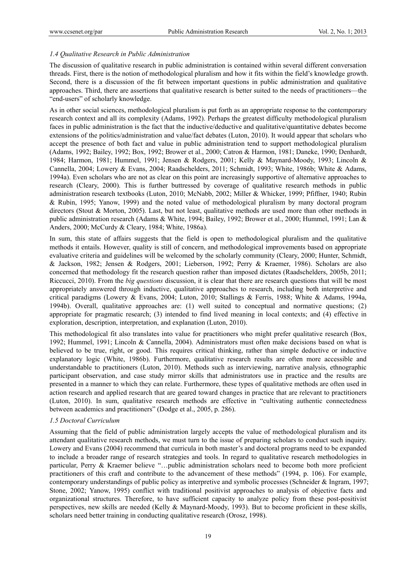# *1.4 Qualitative Research in Public Administration*

The discussion of qualitative research in public administration is contained within several different conversation threads. First, there is the notion of methodological pluralism and how it fits within the field's knowledge growth. Second, there is a discussion of the fit between important questions in public administration and qualitative approaches. Third, there are assertions that qualitative research is better suited to the needs of practitioners—the "end-users" of scholarly knowledge.

As in other social sciences, methodological pluralism is put forth as an appropriate response to the contemporary research context and all its complexity (Adams, 1992). Perhaps the greatest difficulty methodological pluralism faces in public administration is the fact that the inductive/deductive and qualitative/quantitative debates become extensions of the politics/administration and value/fact debates (Luton, 2010). It would appear that scholars who accept the presence of both fact and value in public administration tend to support methodological pluralism (Adams, 1992; Bailey, 1992; Box, 1992; Brower et al., 2000; Catron & Harmon, 1981; Daneke, 1990; Denhardt, 1984; Harmon, 1981; Hummel, 1991; Jensen & Rodgers, 2001; Kelly & Maynard-Moody, 1993; Lincoln & Cannella, 2004; Lowery & Evans, 2004; Raadschelders, 2011; Schmidt, 1993; White, 1986b; White & Adams, 1994a). Even scholars who are not as clear on this point are increasingly supportive of alternative approaches to research (Cleary, 2000). This is further buttressed by coverage of qualitative research methods in public administration research textbooks (Luton, 2010; McNabb, 2002; Miller & Whicker, 1999; Pfiffner, 1940; Rubin & Rubin, 1995; Yanow, 1999) and the noted value of methodological pluralism by many doctoral program directors (Stout & Morton, 2005). Last, but not least, qualitative methods are used more than other methods in public administration research (Adams & White, 1994; Bailey, 1992; Brower et al., 2000; Hummel, 1991; Lan & Anders, 2000; McCurdy & Cleary, 1984; White, 1986a).

In sum, this state of affairs suggests that the field is open to methodological pluralism and the qualitative methods it entails. However, quality is still of concern, and methodological improvements based on appropriate evaluative criteria and guidelines will be welcomed by the scholarly community (Cleary, 2000; Hunter, Schmidt, & Jackson, 1982; Jensen & Rodgers, 2001; Lieberson, 1992; Perry & Kraemer, 1986). Scholars are also concerned that methodology fit the research question rather than imposed dictates (Raadschelders, 2005b, 2011; Riccucci, 2010). From the *big questions* discussion, it is clear that there are research questions that will be most appropriately answered through inductive, qualitative approaches to research, including both interpretive and critical paradigms (Lowery & Evans, 2004; Luton, 2010; Stallings & Ferris, 1988; White & Adams, 1994a, 1994b). Overall, qualitative approaches are: (1) well suited to conceptual and normative questions; (2) appropriate for pragmatic research; (3) intended to find lived meaning in local contexts; and (4) effective in exploration, description, interpretation, and explanation (Luton, 2010).

This methodological fit also translates into value for practitioners who might prefer qualitative research (Box, 1992; Hummel, 1991; Lincoln & Cannella, 2004). Administrators must often make decisions based on what is believed to be true, right, or good. This requires critical thinking, rather than simple deductive or inductive explanatory logic (White, 1986b). Furthermore, qualitative research results are often more accessible and understandable to practitioners (Luton, 2010). Methods such as interviewing, narrative analysis, ethnographic participant observation, and case study mirror skills that administrators use in practice and the results are presented in a manner to which they can relate. Furthermore, these types of qualitative methods are often used in action research and applied research that are geared toward changes in practice that are relevant to practitioners (Luton, 2010). In sum, qualitative research methods are effective in "cultivating authentic connectedness between academics and practitioners" (Dodge et al., 2005, p. 286).

### *1.5 Doctoral Curriculum*

Assuming that the field of public administration largely accepts the value of methodological pluralism and its attendant qualitative research methods, we must turn to the issue of preparing scholars to conduct such inquiry. Lowery and Evans (2004) recommend that curricula in both master's and doctoral programs need to be expanded to include a broader range of research strategies and tools. In regard to qualitative research methodologies in particular, Perry & Kraemer believe "…public administration scholars need to become both more proficient practitioners of this craft and contribute to the advancement of these methods" (1994, p. 106). For example, contemporary understandings of public policy as interpretive and symbolic processes (Schneider & Ingram, 1997; Stone, 2002; Yanow, 1995) conflict with traditional positivist approaches to analysis of objective facts and organizational structures. Therefore, to have sufficient capacity to analyze policy from these post-positivist perspectives, new skills are needed (Kelly & Maynard-Moody, 1993). But to become proficient in these skills, scholars need better training in conducting qualitative research (Orosz, 1998).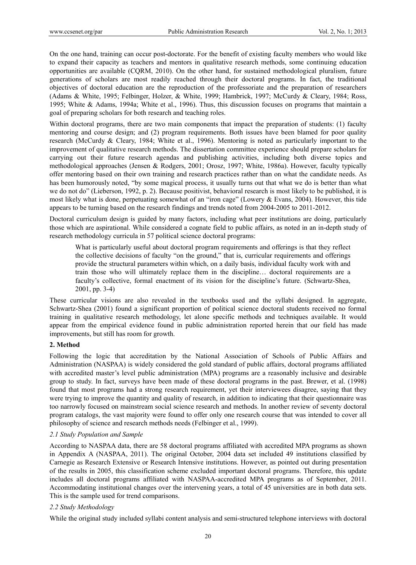On the one hand, training can occur post-doctorate. For the benefit of existing faculty members who would like to expand their capacity as teachers and mentors in qualitative research methods, some continuing education opportunities are available (CQRM, 2010). On the other hand, for sustained methodological pluralism, future generations of scholars are most readily reached through their doctoral programs. In fact, the traditional objectives of doctoral education are the reproduction of the professoriate and the preparation of researchers (Adams & White, 1995; Felbinger, Holzer, & White, 1999; Hambrick, 1997; McCurdy & Cleary, 1984; Ross, 1995; White & Adams, 1994a; White et al., 1996). Thus, this discussion focuses on programs that maintain a goal of preparing scholars for both research and teaching roles.

Within doctoral programs, there are two main components that impact the preparation of students: (1) faculty mentoring and course design; and (2) program requirements. Both issues have been blamed for poor quality research (McCurdy & Cleary, 1984; White et al., 1996). Mentoring is noted as particularly important to the improvement of qualitative research methods. The dissertation committee experience should prepare scholars for carrying out their future research agendas and publishing activities, including both diverse topics and methodological approaches (Jensen & Rodgers, 2001; Orosz, 1997; White, 1986a). However, faculty typically offer mentoring based on their own training and research practices rather than on what the candidate needs. As has been humorously noted, "by some magical process, it usually turns out that what we do is better than what we do not do" (Lieberson, 1992, p. 2). Because positivist, behavioral research is most likely to be published, it is most likely what is done, perpetuating somewhat of an "iron cage" (Lowery & Evans, 2004). However, this tide appears to be turning based on the research findings and trends noted from 2004-2005 to 2011-2012.

Doctoral curriculum design is guided by many factors, including what peer institutions are doing, particularly those which are aspirational. While considered a cognate field to public affairs, as noted in an in-depth study of research methodology curricula in 57 political science doctoral programs:

What is particularly useful about doctoral program requirements and offerings is that they reflect the collective decisions of faculty "on the ground," that is, curricular requirements and offerings provide the structural parameters within which, on a daily basis, individual faculty work with and train those who will ultimately replace them in the discipline… doctoral requirements are a faculty's collective, formal enactment of its vision for the discipline's future. (Schwartz-Shea, 2001, pp. 3-4)

These curricular visions are also revealed in the textbooks used and the syllabi designed. In aggregate, Schwartz-Shea (2001) found a significant proportion of political science doctoral students received no formal training in qualitative research methodology, let alone specific methods and techniques available. It would appear from the empirical evidence found in public administration reported herein that our field has made improvements, but still has room for growth.

# **2. Method**

Following the logic that accreditation by the National Association of Schools of Public Affairs and Administration (NASPAA) is widely considered the gold standard of public affairs, doctoral programs affiliated with accredited master's level public administration (MPA) programs are a reasonably inclusive and desirable group to study. In fact, surveys have been made of these doctoral programs in the past. Brewer, et al. (1998) found that most programs had a strong research requirement, yet their interviewees disagree, saying that they were trying to improve the quantity and quality of research, in addition to indicating that their questionnaire was too narrowly focused on mainstream social science research and methods. In another review of seventy doctoral program catalogs, the vast majority were found to offer only one research course that was intended to cover all philosophy of science and research methods needs (Felbinger et al., 1999).

# *2.1 Study Population and Sample*

According to NASPAA data, there are 58 doctoral programs affiliated with accredited MPA programs as shown in Appendix A (NASPAA, 2011). The original October, 2004 data set included 49 institutions classified by Carnegie as Research Extensive or Research Intensive institutions. However, as pointed out during presentation of the results in 2005, this classification scheme excluded important doctoral programs. Therefore, this update includes all doctoral programs affiliated with NASPAA-accredited MPA programs as of September, 2011. Accommodating institutional changes over the intervening years, a total of 45 universities are in both data sets. This is the sample used for trend comparisons.

# *2.2 Study Methodology*

While the original study included syllabi content analysis and semi-structured telephone interviews with doctoral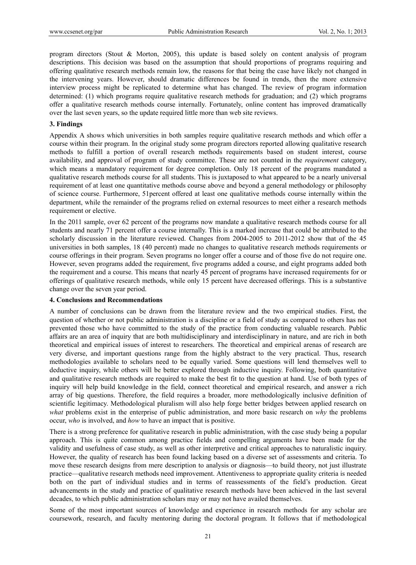program directors (Stout & Morton, 2005), this update is based solely on content analysis of program descriptions. This decision was based on the assumption that should proportions of programs requiring and offering qualitative research methods remain low, the reasons for that being the case have likely not changed in the intervening years. However, should dramatic differences be found in trends, then the more extensive interview process might be replicated to determine what has changed. The review of program information determined: (1) which programs require qualitative research methods for graduation; and (2) which programs offer a qualitative research methods course internally. Fortunately, online content has improved dramatically over the last seven years, so the update required little more than web site reviews.

### **3. Findings**

Appendix A shows which universities in both samples require qualitative research methods and which offer a course within their program. In the original study some program directors reported allowing qualitative research methods to fulfill a portion of overall research methods requirements based on student interest, course availability, and approval of program of study committee. These are not counted in the *requirement* category, which means a mandatory requirement for degree completion. Only 18 percent of the programs mandated a qualitative research methods course for all students. This is juxtaposed to what appeared to be a nearly universal requirement of at least one quantitative methods course above and beyond a general methodology or philosophy of science course. Furthermore, 51percent offered at least one qualitative methods course internally within the department, while the remainder of the programs relied on external resources to meet either a research methods requirement or elective.

In the 2011 sample, over 62 percent of the programs now mandate a qualitative research methods course for all students and nearly 71 percent offer a course internally. This is a marked increase that could be attributed to the scholarly discussion in the literature reviewed. Changes from 2004-2005 to 2011-2012 show that of the 45 universities in both samples, 18 (40 percent) made no changes to qualitative research methods requirements or course offerings in their program. Seven programs no longer offer a course and of those five do not require one. However, seven programs added the requirement, five programs added a course, and eight programs added both the requirement and a course. This means that nearly 45 percent of programs have increased requirements for or offerings of qualitative research methods, while only 15 percent have decreased offerings. This is a substantive change over the seven year period.

### **4. Conclusions and Recommendations**

A number of conclusions can be drawn from the literature review and the two empirical studies. First, the question of whether or not public administration is a discipline or a field of study as compared to others has not prevented those who have committed to the study of the practice from conducting valuable research. Public affairs are an area of inquiry that are both multidisciplinary and interdisciplinary in nature, and are rich in both theoretical and empirical issues of interest to researchers. The theoretical and empirical arenas of research are very diverse, and important questions range from the highly abstract to the very practical. Thus, research methodologies available to scholars need to be equally varied. Some questions will lend themselves well to deductive inquiry, while others will be better explored through inductive inquiry. Following, both quantitative and qualitative research methods are required to make the best fit to the question at hand. Use of both types of inquiry will help build knowledge in the field, connect theoretical and empirical research, and answer a rich array of big questions. Therefore, the field requires a broader, more methodologically inclusive definition of scientific legitimacy. Methodological pluralism will also help forge better bridges between applied research on *what* problems exist in the enterprise of public administration, and more basic research on *why* the problems occur, *who* is involved, and *how* to have an impact that is positive.

There is a strong preference for qualitative research in public administration, with the case study being a popular approach. This is quite common among practice fields and compelling arguments have been made for the validity and usefulness of case study, as well as other interpretive and critical approaches to naturalistic inquiry. However, the quality of research has been found lacking based on a diverse set of assessments and criteria. To move these research designs from mere description to analysis or diagnosis—to build theory, not just illustrate practice—qualitative research methods need improvement. Attentiveness to appropriate quality criteria is needed both on the part of individual studies and in terms of reassessments of the field's production. Great advancements in the study and practice of qualitative research methods have been achieved in the last several decades, to which public administration scholars may or may not have availed themselves.

Some of the most important sources of knowledge and experience in research methods for any scholar are coursework, research, and faculty mentoring during the doctoral program. It follows that if methodological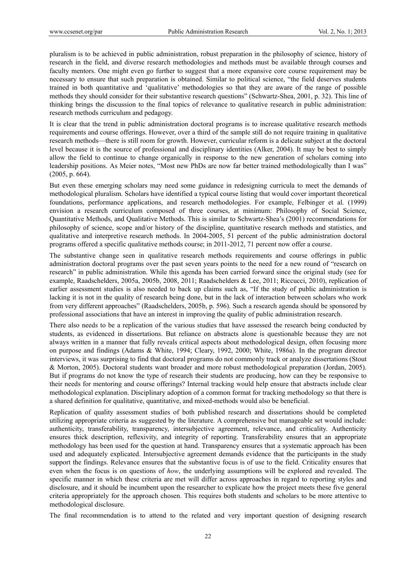pluralism is to be achieved in public administration, robust preparation in the philosophy of science, history of research in the field, and diverse research methodologies and methods must be available through courses and faculty mentors. One might even go further to suggest that a more expansive core course requirement may be necessary to ensure that such preparation is obtained. Similar to political science, "the field deserves students trained in both quantitative and 'qualitative' methodologies so that they are aware of the range of possible methods they should consider for their substantive research questions" (Schwartz-Shea, 2001, p. 32). This line of thinking brings the discussion to the final topics of relevance to qualitative research in public administration: research methods curriculum and pedagogy.

It is clear that the trend in public administration doctoral programs is to increase qualitative research methods requirements and course offerings. However, over a third of the sample still do not require training in qualitative research methods—there is still room for growth. However, curricular reform is a delicate subject at the doctoral level because it is the source of professional and disciplinary identities (Alker, 2004). It may be best to simply allow the field to continue to change organically in response to the new generation of scholars coming into leadership positions. As Meier notes, "Most new PhDs are now far better trained methodologically than I was" (2005, p. 664).

But even these emerging scholars may need some guidance in redesigning curricula to meet the demands of methodological pluralism. Scholars have identified a typical course listing that would cover important theoretical foundations, performance applications, and research methodologies. For example, Felbinger et al. (1999) envision a research curriculum composed of three courses, at minimum: Philosophy of Social Science, Quantitative Methods, and Qualitative Methods. This is similar to Schwartz-Shea's (2001) recommendations for philosophy of science, scope and/or history of the discipline, quantitative research methods and statistics, and qualitative and interpretive research methods. In 2004-2005, 51 percent of the public administration doctoral programs offered a specific qualitative methods course; in 2011-2012, 71 percent now offer a course.

The substantive change seen in qualitative research methods requirements and course offerings in public administration doctoral programs over the past seven years points to the need for a new round of "research on research" in public administration. While this agenda has been carried forward since the original study (see for example, Raadschelders, 2005a, 2005b, 2008, 2011; Raadschelders & Lee, 2011; Riccucci, 2010), replication of earlier assessment studies is also needed to back up claims such as, "If the study of public administration is lacking it is not in the quality of research being done, but in the lack of interaction between scholars who work from very different approaches" (Raadschelders, 2005b, p. 596). Such a research agenda should be sponsored by professional associations that have an interest in improving the quality of public administration research.

There also needs to be a replication of the various studies that have assessed the research being conducted by students, as evidenced in dissertations. But reliance on abstracts alone is questionable because they are not always written in a manner that fully reveals critical aspects about methodological design, often focusing more on purpose and findings (Adams & White, 1994; Cleary, 1992, 2000; White, 1986a). In the program director interviews, it was surprising to find that doctoral programs do not commonly track or analyze dissertations (Stout & Morton, 2005). Doctoral students want broader and more robust methodological preparation (Jordan, 2005). But if programs do not know the type of research their students are producing, how can they be responsive to their needs for mentoring and course offerings? Internal tracking would help ensure that abstracts include clear methodological explanation. Disciplinary adoption of a common format for tracking methodology so that there is a shared definition for qualitative, quantitative, and mixed-methods would also be beneficial.

Replication of quality assessment studies of both published research and dissertations should be completed utilizing appropriate criteria as suggested by the literature. A comprehensive but manageable set would include: authenticity, transferability, transparency, intersubjective agreement, relevance, and criticality. Authenticity ensures thick description, reflexivity, and integrity of reporting. Transferability ensures that an appropriate methodology has been used for the question at hand. Transparency ensures that a systematic approach has been used and adequately explicated. Intersubjective agreement demands evidence that the participants in the study support the findings. Relevance ensures that the substantive focus is of use to the field. Criticality ensures that even when the focus is on questions of *how*, the underlying assumptions will be explored and revealed. The specific manner in which these criteria are met will differ across approaches in regard to reporting styles and disclosure, and it should be incumbent upon the researcher to explicate how the project meets these five general criteria appropriately for the approach chosen. This requires both students and scholars to be more attentive to methodological disclosure.

The final recommendation is to attend to the related and very important question of designing research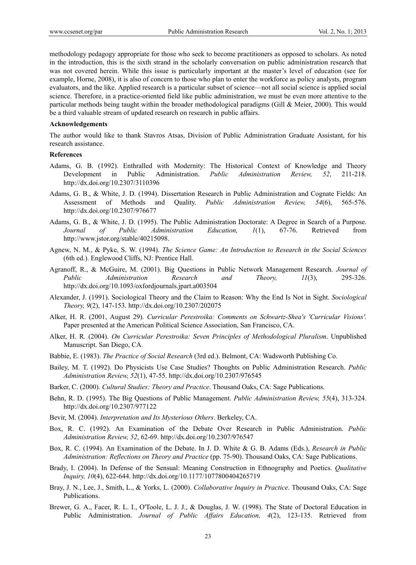methodology pedagogy appropriate for those who seek to become practitioners as opposed to scholars. As noted in the introduction, this is the sixth strand in the scholarly conversation on public administration research that was not covered herein. While this issue is particularly important at the master's level of education (see for example, Horne, 2008), it is also of concern to those who plan to enter the workforce as policy analysts, program evaluators, and the like. Applied research is a particular subset of science—not all social science is applied social science. Therefore, in a practice-oriented field like public administration, we must be even more attentive to the particular methods being taught within the broader methodological paradigms (Gill & Meier, 2000). This would be a third valuable stream of updated research on research in public affairs.

### **Acknowledgements**

The author would like to thank Stavros Atsas, Division of Public Administration Graduate Assistant, for his research assistance.

### **References**

- Adams, G. B. (1992). Enthralled with Modernity: The Historical Context of Knowledge and Theory Development in Public Administration. *Public Administration Review, 52*, 211-218. http://dx.doi.org/10.2307/3110396
- Adams, G. B., & White, J. D. (1994). Dissertation Research in Public Administration and Cognate Fields: An Assessment of Methods and Quality. *Public Administration Review, 54*(6), 565-576. http://dx.doi.org/10.2307/976677
- Adams, G. B., & White, J. D. (1995). The Public Administration Doctorate: A Degree in Search of a Purpose. *Journal of Public Administration Education, 1*(1), 67-76. Retrieved from http://www.jstor.org/stable/40215098.
- Agnew, N. M., & Pyke, S. W. (1994). *The Science Game: An Introduction to Research in the Social Sciences* (6th ed.). Englewood Cliffs, NJ: Prentice Hall.
- Agranoff, R., & McGuire, M. (2001). Big Questions in Public Network Management Research. *Journal of Public Administration Research and Theory, 11*(3), 295-326. http://dx.doi.org/10.1093/oxfordjournals.jpart.a003504
- Alexander, J. (1991). Sociological Theory and the Claim to Reason: Why the End Is Not in Sight. *Sociological Theory, 9*(2), 147-153. http://dx.doi.org/10.2307/202075
- Alker, H. R. (2001, August 29). *Curricular Perestroika: Comments on Schwartz-Shea's 'Curricular Visions'.* Paper presented at the American Political Science Association, San Francisco, CA.
- Alker, H. R. (2004). *On Curricular Perestroika: Seven Principles of Methodological Pluralism*. Unpublished Manuscript. San Diego, CA.
- Babbie, E. (1983). *The Practice of Social Research* (3rd ed.). Belmont, CA: Wadsworth Publishing Co.
- Bailey, M. T. (1992). Do Physicists Use Case Studies? Thoughts on Public Administration Research. *Public Administration Review, 52*(1), 47-55. http://dx.doi.org/10.2307/976545
- Barker, C. (2000). *Cultural Studies: Theory and Practice*. Thousand Oaks, CA: Sage Publications.
- Behn, R. D. (1995). The Big Questions of Public Management. *Public Administration Review, 55*(4), 313-324. http://dx.doi.org/10.2307/977122
- Bevir, M. (2004). *Interpretation and Its Mysterious Others*. Berkeley, CA.
- Box, R. C. (1992). An Examination of the Debate Over Research in Public Administration. *Public Administration Review, 52*, 62-69. http://dx.doi.org/10.2307/976547
- Box, R. C. (1994). An Examination of the Debate. In J. D. White & G. B. Adams (Eds.), *Research in Public Administration: Reflections on Theory and Practice* (pp. 75-90). Thousand Oaks, CA: Sage Publications.
- Brady, I. (2004). In Defense of the Sensual: Meaning Construction in Ethnography and Poetics. *Qualitative Inquiry, 10*(4), 622-644. http://dx.doi.org/10.1177/1077800404265719
- Bray, J. N., Lee, J., Smith, L., & Yorks, L. (2000). *Collaborative Inquiry in Practice*. Thousand Oaks, CA: Sage Publications.
- Brewer, G. A., Facer, R. L. I., O'Toole, L. J. J., & Douglas, J. W. (1998). The State of Doctoral Education in Public Administration. *Journal of Public Affairs Education, 4*(2), 123-135. Retrieved from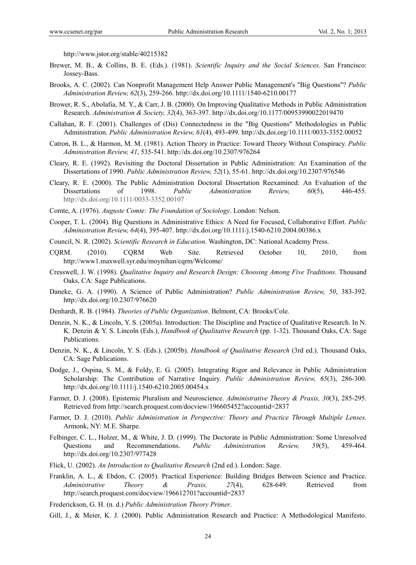http://www.jstor.org/stable/40215382

- Brewer, M. B., & Collins, B. E. (Eds.). (1981). *Scientific Inquiry and the Social Sciences*. San Francisco: Jossey-Bass.
- Brooks, A. C. (2002). Can Nonprofit Management Help Answer Public Management's "Big Questions"? *Public Administration Review, 62*(3), 259-266. http://dx.doi.org/10.1111/1540-6210.00177
- Brower, R. S., Abolafia, M. Y., & Carr, J. B. (2000). On Improving Qualitative Methods in Public Administration Research. *Administration & Society, 32*(4), 363-397. http://dx.doi.org/10.1177/00953990022019470
- Callahan, R. F. (2001). Challenges of (Dis) Connectedness in the "Big Questions" Methodologies in Public Administration. *Public Administration Review, 61*(4), 493-499. http://dx.doi.org/10.1111/0033-3352.00052
- Catron, B. L., & Harmon, M. M. (1981). Action Theory in Practice: Toward Theory Without Conspiracy. *Public Administration Review, 41*, 535-541. http://dx.doi.org/10.2307/976264
- Cleary, R. E. (1992). Revisiting the Doctoral Dissertation in Public Administration: An Examination of the Dissertations of 1990. *Public Administration Review, 52*(1), 55-61. http://dx.doi.org/10.2307/976546
- Cleary, R. E. (2000). The Public Administration Doctoral Dissertation Reexamined: An Evaluation of the Dissertations of 1998. *Public Administration Review, 60*(5), 446-455. http://dx.doi.org/10.1111/0033-3352.00107
- Comte, A. (1976). *Auguste Comte: The Foundation of Sociology*. London: Nelson.
- Cooper, T. L. (2004). Big Questions in Administrative Ethics: A Need for Focused, Collaborative Effort. *Public Administration Review, 64*(4), 395-407. http://dx.doi.org/10.1111/j.1540-6210.2004.00386.x
- Council, N. R. (2002). *Scientific Research in Education*. Washington, DC: National Academy Press.
- CQRM. (2010). CQRM Web Site. Retrieved October 10, 2010, from http://www1.maxwell.syr.edu/moynihan/cqrm/Welcome/
- Cresswell, J. W. (1998). *Qualitative Inquiry and Research Design: Choosing Among Five Traditions*. Thousand Oaks, CA: Sage Publications.
- Daneke, G. A. (1990). A Science of Public Administration? *Public Administration Review, 50*, 383-392. http://dx.doi.org/10.2307/976620
- Denhardt, R. B. (1984). *Theories of Public Organization*. Belmont, CA: Brooks/Cole.
- Denzin, N. K., & Lincoln, Y. S. (2005a). Introduction: The Discipline and Practice of Qualitative Research. In N. K. Denzin & Y. S. Lincoln (Eds.), *Handbook of Qualitative Research* (pp. 1-32). Thousand Oaks, CA: Sage Publications.
- Denzin, N. K., & Lincoln, Y. S. (Eds.). (2005b). *Handbook of Qualitative Research* (3rd ed.). Thousand Oaks, CA: Sage Publications.
- Dodge, J., Ospina, S. M., & Foldy, E. G. (2005). Integrating Rigor and Relevance in Public Administration Scholarship: The Contribution of Narrative Inquiry. *Public Administration Review, 65*(3), 286-300. http://dx.doi.org/10.1111/j.1540-6210.2005.00454.x
- Farmer, D. J. (2008). Epistemic Pluralism and Neuroscience. *Administrative Theory & Praxis, 30*(3), 285-295. Retrieved from http://search.proquest.com/docview/196605452?accountid=2837
- Farmer, D. J. (2010). *Public Administration in Perspective: Theory and Practice Through Multiple Lenses*. Armonk, NY: M.E. Sharpe.
- Felbinger, C. L., Holzer, M., & White, J. D. (1999). The Doctorate in Public Administration: Some Unresolved Questions and Recommendations. *Public Administration Review, 59*(5), 459-464. http://dx.doi.org/10.2307/977428
- Flick, U. (2002). *An Introduction to Qualitative Research* (2nd ed.). London: Sage.
- Franklin, A. L., & Ebdon, C. (2005). Practical Experience: Building Bridges Between Science and Practice. *Administrative Theory & Praxis, 27*(4), 628-649. Retrieved from http://search.proquest.com/docview/196612701?accountid=2837

Frederickson, G. H. (n. d.) *Public Administration Theory Primer*.

Gill, J., & Meier, K. J. (2000). Public Administration Research and Practice: A Methodological Manifesto.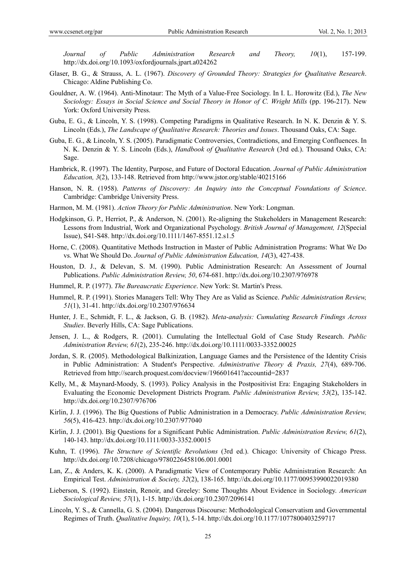*Journal of Public Administration Research and Theory, 10*(1), 157-199. http://dx.doi.org/10.1093/oxfordjournals.jpart.a024262

- Glaser, B. G., & Strauss, A. L. (1967). *Discovery of Grounded Theory: Strategies for Qualitative Research*. Chicago: Aldine Publishing Co.
- Gouldner, A. W. (1964). Anti-Minotaur: The Myth of a Value-Free Sociology. In I. L. Horowitz (Ed.), *The New Sociology: Essays in Social Science and Social Theory in Honor of C. Wright Mills* (pp. 196-217). New York: Oxford University Press.
- Guba, E. G., & Lincoln, Y. S. (1998). Competing Paradigms in Qualitative Research. In N. K. Denzin & Y. S. Lincoln (Eds.), *The Landscape of Qualitative Research: Theories and Issues*. Thousand Oaks, CA: Sage.
- Guba, E. G., & Lincoln, Y. S. (2005). Paradigmatic Controversies, Contradictions, and Emerging Confluences. In N. K. Denzin & Y. S. Lincoln (Eds.), *Handbook of Qualitative Research* (3rd ed.). Thousand Oaks, CA: Sage.
- Hambrick, R. (1997). The Identity, Purpose, and Future of Doctoral Education. *Journal of Public Administration Education, 3*(2), 133-148. Retrieved from http://www.jstor.org/stable/40215166
- Hanson, N. R. (1958). *Patterns of Discovery: An Inquiry into the Conceptual Foundations of Science*. Cambridge: Cambridge University Press.
- Harmon, M. M. (1981). *Action Theory for Public Administration*. New York: Longman.
- Hodgkinson, G. P., Herriot, P., & Anderson, N. (2001). Re-aligning the Stakeholders in Management Research: Lessons from Industrial, Work and Organizational Psychology. *British Journal of Management, 12*(Special Issue), S41-S48. http://dx.doi.org/10.1111/1467-8551.12.s1.5
- Horne, C. (2008). Quantitative Methods Instruction in Master of Public Administration Programs: What We Do vs. What We Should Do. *Journal of Public Administration Education, 14*(3), 427-438.
- Houston, D. J., & Delevan, S. M. (1990). Public Administration Research: An Assessment of Journal Publications. *Public Administration Review, 50*, 674-681. http://dx.doi.org/10.2307/976978
- Hummel, R. P. (1977). *The Bureaucratic Experience*. New York: St. Martin's Press.
- Hummel, R. P. (1991). Stories Managers Tell: Why They Are as Valid as Science. *Public Administration Review, 51*(1), 31-41. http://dx.doi.org/10.2307/976634
- Hunter, J. E., Schmidt, F. L., & Jackson, G. B. (1982). *Meta-analysis: Cumulating Research Findings Across Studies*. Beverly Hills, CA: Sage Publications.
- Jensen, J. L., & Rodgers, R. (2001). Cumulating the Intellectual Gold of Case Study Research. *Public Administration Review, 61*(2), 235-246. http://dx.doi.org/10.1111/0033-3352.00025
- Jordan, S. R. (2005). Methodological Balkinization, Language Games and the Persistence of the Identity Crisis in Public Administration: A Student's Perspective. *Administrative Theory & Praxis, 27*(4), 689-706. Retrieved from http://search.proquest.com/docview/196601641?accountid=2837
- Kelly, M., & Maynard-Moody, S. (1993). Policy Analysis in the Postpositivist Era: Engaging Stakeholders in Evaluating the Economic Development Districts Program. *Public Administration Review, 53*(2), 135-142. http://dx.doi.org/10.2307/976706
- Kirlin, J. J. (1996). The Big Questions of Public Administration in a Democracy. *Public Administration Review, 56*(5), 416-423. http://dx.doi.org/10.2307/977040
- Kirlin, J. J. (2001). Big Questions for a Significant Public Administration. *Public Administration Review, 61*(2), 140-143. http://dx.doi.org/10.1111/0033-3352.00015
- Kuhn, T. (1996). *The Structure of Scientific Revolutions* (3rd ed.). Chicago: University of Chicago Press. http://dx.doi.org/10.7208/chicago/9780226458106.001.0001
- Lan, Z., & Anders, K. K. (2000). A Paradigmatic View of Contemporary Public Administration Research: An Empirical Test. *Administration & Society, 32*(2), 138-165. http://dx.doi.org/10.1177/00953990022019380
- Lieberson, S. (1992). Einstein, Renoir, and Greeley: Some Thoughts About Evidence in Sociology. *American Sociological Review, 57*(1), 1-15. http://dx.doi.org/10.2307/2096141
- Lincoln, Y. S., & Cannella, G. S. (2004). Dangerous Discourse: Methodological Conservatism and Governmental Regimes of Truth. *Qualitative Inquiry, 10*(1), 5-14. http://dx.doi.org/10.1177/1077800403259717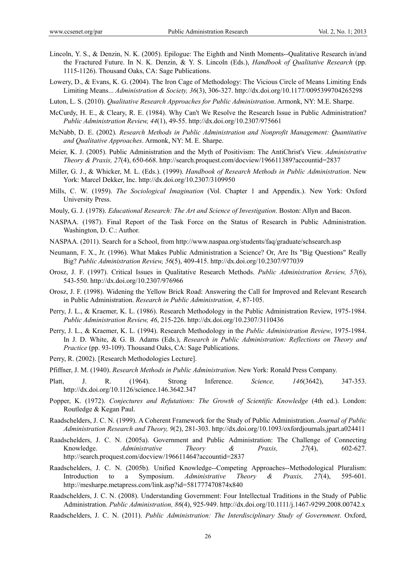- Lincoln, Y. S., & Denzin, N. K. (2005). Epilogue: The Eighth and Ninth Moments--Qualitative Research in/and the Fractured Future. In N. K. Denzin, & Y. S. Lincoln (Eds.), *Handbook of Qualitative Research* (pp. 1115-1126). Thousand Oaks, CA: Sage Publications.
- Lowery, D., & Evans, K. G. (2004). The Iron Cage of Methodology: The Vicious Circle of Means Limiting Ends Limiting Means... *Administration & Society, 36*(3), 306-327. http://dx.doi.org/10.1177/0095399704265298
- Luton, L. S. (2010). *Qualitative Research Approaches for Public Administration*. Armonk, NY: M.E. Sharpe.
- McCurdy, H. E., & Cleary, R. E. (1984). Why Can't We Resolve the Research Issue in Public Administration? *Public Administration Review, 44*(1), 49-55. http://dx.doi.org/10.2307/975661
- McNabb, D. E. (2002). *Research Methods in Public Administration and Nonprofit Management: Quantitative and Qualitative Approaches*. Armonk, NY: M. E. Sharpe.
- Meier, K. J. (2005). Public Administration and the Myth of Positivism: The AntiChrist's View. *Administrative Theory & Praxis, 27*(4), 650-668. http://search.proquest.com/docview/196611389?accountid=2837
- Miller, G. J., & Whicker, M. L. (Eds.). (1999). *Handbook of Research Methods in Public Administration*. New York: Marcel Dekker, Inc. http://dx.doi.org/10.2307/3109950
- Mills, C. W. (1959). *The Sociological Imagination* (Vol. Chapter 1 and Appendix.). New York: Oxford University Press.
- Mouly, G. J. (1978). *Educational Research: The Art and Science of Investigation*. Boston: Allyn and Bacon.
- NASPAA. (1987). Final Report of the Task Force on the Status of Research in Public Administration. Washington, D. C.: Author.
- NASPAA. (2011). Search for a School, from http://www.naspaa.org/students/faq/graduate/schsearch.asp
- Neumann, F. X., Jr. (1996). What Makes Public Administration a Science? Or, Are Its "Big Questions" Really Big? *Public Administration Review, 56*(5), 409-415. http://dx.doi.org/10.2307/977039
- Orosz, J. F. (1997). Critical Issues in Qualitative Research Methods. *Public Administration Review, 57*(6), 543-550. http://dx.doi.org/10.2307/976966
- Orosz, J. F. (1998). Widening the Yellow Brick Road: Answering the Call for Improved and Relevant Research in Public Administration. *Research in Public Administration, 4*, 87-105.
- Perry, J. L., & Kraemer, K. L. (1986). Research Methodology in the Public Administration Review, 1975-1984. *Public Administration Review, 46*, 215-226. http://dx.doi.org/10.2307/3110436
- Perry, J. L., & Kraemer, K. L. (1994). Research Methodology in the *Public Administration Review*, 1975-1984. In J. D. White, & G. B. Adams (Eds.), *Research in Public Administration: Reflections on Theory and Practice* (pp. 93-109). Thousand Oaks, CA: Sage Publications.
- Perry, R. (2002). [Research Methodologies Lecture].
- Pfiffner, J. M. (1940). *Research Methods in Public Administration*. New York: Ronald Press Company.
- Platt, J. R. (1964). Strong Inference. *Science, 146*(3642), 347-353. http://dx.doi.org/10.1126/science.146.3642.347
- Popper, K. (1972). *Conjectures and Refutations: The Growth of Scientific Knowledge* (4th ed.). London: Routledge & Kegan Paul.
- Raadschelders, J. C. N. (1999). A Coherent Framework for the Study of Public Administration. *Journal of Public Administration Research and Theory, 9*(2), 281-303. http://dx.doi.org/10.1093/oxfordjournals.jpart.a024411
- Raadschelders, J. C. N. (2005a). Government and Public Administration: The Challenge of Connecting Knowledge. *Administrative Theory & Praxis, 27*(4), 602-627. http://search.proquest.com/docview/196611464?accountid=2837
- Raadschelders, J. C. N. (2005b). Unified Knowledge--Competing Approaches--Methodological Pluralism: Introduction to a Symposium. *Administrative Theory & Praxis, 27*(4), 595-601. http://mesharpe.metapress.com/link.asp?id=581777470874x840
- Raadschelders, J. C. N. (2008). Understanding Government: Four Intellectual Traditions in the Study of Public Administration. *Public Administration, 86*(4), 925-949. http://dx.doi.org/10.1111/j.1467-9299.2008.00742.x
- Raadschelders, J. C. N. (2011). *Public Administration: The Interdisciplinary Study of Government*. Oxford,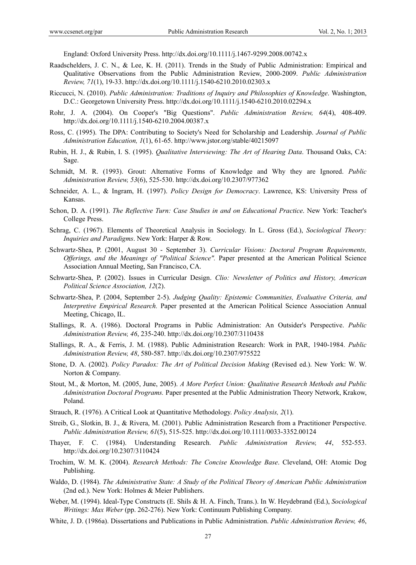England: Oxford University Press. http://dx.doi.org/10.1111/j.1467-9299.2008.00742.x

- Raadschelders, J. C. N., & Lee, K. H. (2011). Trends in the Study of Public Administration: Empirical and Qualitative Observations from the Public Administration Review, 2000-2009. *Public Administration Review, 71*(1), 19-33. http://dx.doi.org/10.1111/j.1540-6210.2010.02303.x
- Riccucci, N. (2010). *Public Administration: Traditions of Inquiry and Philosophies of Knowledge*. Washington, D.C.: Georgetown University Press. http://dx.doi.org/10.1111/j.1540-6210.2010.02294.x
- Rohr, J. A. (2004). On Cooper's "Big Questions". *Public Administration Review, 64*(4), 408-409. http://dx.doi.org/10.1111/j.1540-6210.2004.00387.x
- Ross, C. (1995). The DPA: Contributing to Society's Need for Scholarship and Leadership. *Journal of Public Administration Education, 1*(1), 61-65. http://www.jstor.org/stable/40215097
- Rubin, H. J., & Rubin, I. S. (1995). *Qualitative Interviewing: The Art of Hearing Data*. Thousand Oaks, CA: Sage.
- Schmidt, M. R. (1993). Grout: Alternative Forms of Knowledge and Why they are Ignored. *Public Administration Review, 53*(6), 525-530. http://dx.doi.org/10.2307/977362
- Schneider, A. L., & Ingram, H. (1997). *Policy Design for Democracy*. Lawrence, KS: University Press of Kansas.
- Schon, D. A. (1991). *The Reflective Turn: Case Studies in and on Educational Practice*. New York: Teacher's College Press.
- Schrag, C. (1967). Elements of Theoretical Analysis in Sociology. In L. Gross (Ed.), *Sociological Theory: Inquiries and Paradigms*. New York: Harper & Row.
- Schwartz-Shea, P. (2001, August 30 September 3). *Curricular Visions: Doctoral Program Requirements, Offerings, and the Meanings of "Political Science".* Paper presented at the American Political Science Association Annual Meeting, San Francisco, CA.
- Schwartz-Shea, P. (2002). Issues in Curricular Design. *Clio: Newsletter of Politics and History, American Political Science Association, 12*(2).
- Schwartz-Shea, P. (2004, September 2-5). *Judging Quality: Epistemic Communities, Evaluative Criteria, and Interpretive Empirical Research.* Paper presented at the American Political Science Association Annual Meeting, Chicago, IL.
- Stallings, R. A. (1986). Doctoral Programs in Public Administration: An Outsider's Perspective. *Public Administration Review, 46*, 235-240. http://dx.doi.org/10.2307/3110438
- Stallings, R. A., & Ferris, J. M. (1988). Public Administration Research: Work in PAR, 1940-1984. *Public Administration Review, 48*, 580-587. http://dx.doi.org/10.2307/975522
- Stone, D. A. (2002). *Policy Paradox: The Art of Political Decision Making* (Revised ed.). New York: W. W. Norton & Company.
- Stout, M., & Morton, M. (2005, June, 2005). *A More Perfect Union: Qualitative Research Methods and Public Administration Doctoral Programs.* Paper presented at the Public Administration Theory Network, Krakow, Poland.
- Strauch, R. (1976). A Critical Look at Quantitative Methodology. *Policy Analysis, 2*(1).
- Streib, G., Slotkin, B. J., & Rivera, M. (2001). Public Administration Research from a Practitioner Perspective. *Public Administration Review, 61*(5), 515-525. http://dx.doi.org/10.1111/0033-3352.00124
- Thayer, F. C. (1984). Understanding Research. *Public Administration Review, 44*, 552-553. http://dx.doi.org/10.2307/3110424
- Trochim, W. M. K. (2004). *Research Methods: The Concise Knowledge Base*. Cleveland, OH: Atomic Dog Publishing.
- Waldo, D. (1984). *The Administrative State: A Study of the Political Theory of American Public Administration* (2nd ed.). New York: Holmes & Meier Publishers.
- Weber, M. (1994). Ideal-Type Constructs (E. Shils & H. A. Finch, Trans.). In W. Heydebrand (Ed.), *Sociological Writings: Max Weber* (pp. 262-276). New York: Continuum Publishing Company.
- White, J. D. (1986a). Dissertations and Publications in Public Administration. *Public Administration Review, 46*,